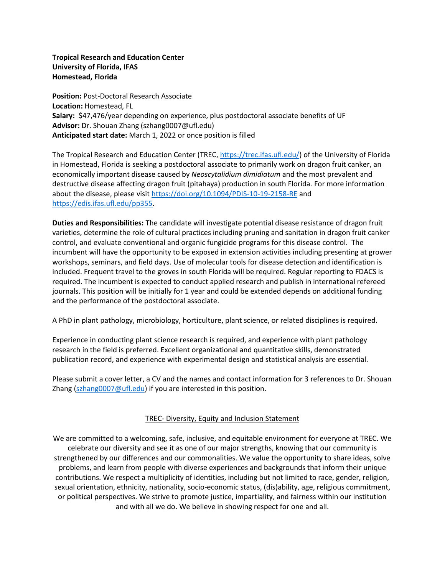**Tropical Research and Education Center University of Florida, IFAS Homestead, Florida**

**Position:** Post-Doctoral Research Associate **Location:** Homestead, FL **Salary:** \$47,476/year depending on experience, plus postdoctoral associate benefits of UF **Advisor:** Dr. Shouan Zhang (szhang0007@ufl.edu) **Anticipated start date:** March 1, 2022 or once position is filled

The Tropical Research and Education Center (TREC[, https://trec.ifas.ufl.edu/\)](https://trec.ifas.ufl.edu/) of the University of Florida in Homestead, Florida is seeking a postdoctoral associate to primarily work on dragon fruit canker, an economically important disease caused by *Neoscytalidium dimidiatum* and the most prevalent and destructive disease affecting dragon fruit (pitahaya) production in south Florida. For more information about the disease, please visit<https://doi.org/10.1094/PDIS-10-19-2158-RE> and [https://edis.ifas.ufl.edu/pp355.](https://edis.ifas.ufl.edu/pp355)

**Duties and Responsibilities:** The candidate will investigate potential disease resistance of dragon fruit varieties, determine the role of cultural practices including pruning and sanitation in dragon fruit canker control, and evaluate conventional and organic fungicide programs for this disease control. The incumbent will have the opportunity to be exposed in extension activities including presenting at grower workshops, seminars, and field days. Use of molecular tools for disease detection and identification is included. Frequent travel to the groves in south Florida will be required. Regular reporting to FDACS is required. The incumbent is expected to conduct applied research and publish in international refereed journals. This position will be initially for 1 year and could be extended depends on additional funding and the performance of the postdoctoral associate.

A PhD in plant pathology, microbiology, horticulture, plant science, or related disciplines is required.

Experience in conducting plant science research is required, and experience with plant pathology research in the field is preferred. Excellent organizational and quantitative skills, demonstrated publication record, and experience with experimental design and statistical analysis are essential.

Please submit a cover letter, a CV and the names and contact information for 3 references to Dr. Shouan Zhang ( $szhang0007@ufl.edu$ ) if you are interested in this position.

## TREC- Diversity, Equity and Inclusion Statement

We are committed to a welcoming, safe, inclusive, and equitable environment for everyone at TREC. We celebrate our diversity and see it as one of our major strengths, knowing that our community is strengthened by our differences and our commonalities. We value the opportunity to share ideas, solve problems, and learn from people with diverse experiences and backgrounds that inform their unique contributions. We respect a multiplicity of identities, including but not limited to race, gender, religion, sexual orientation, ethnicity, nationality, socio-economic status, (dis)ability, age, religious commitment, or political perspectives. We strive to promote justice, impartiality, and fairness within our institution and with all we do. We believe in showing respect for one and all.